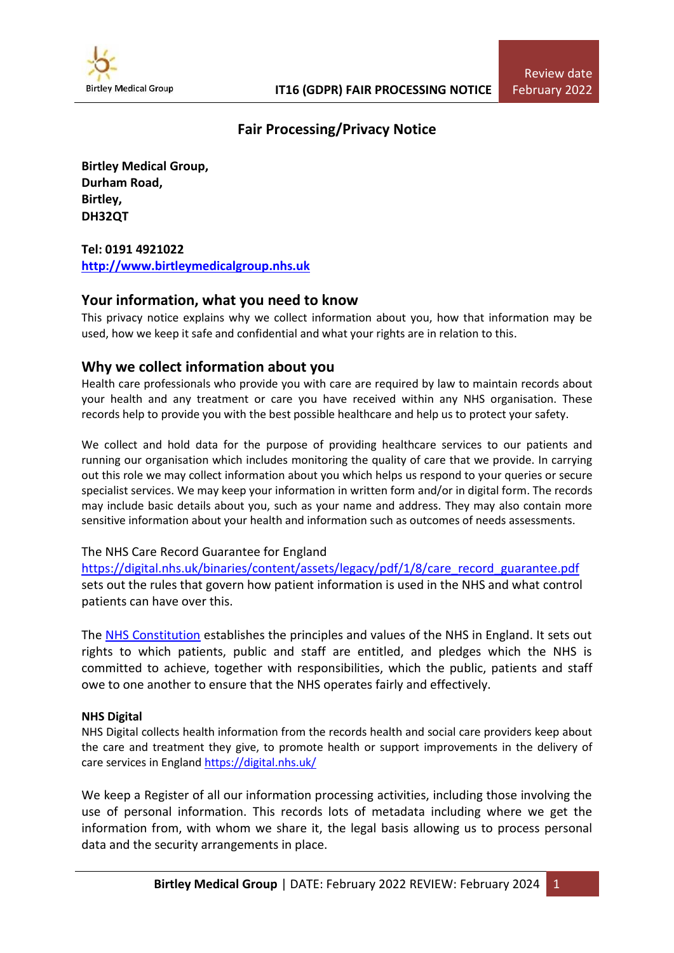

# **Fair Processing/Privacy Notice**

**Birtley Medical Group, Durham Road, Birtley, DH32QT**

## **Tel: 0191 4921022 [http://www.birtleymedicalgroup.nhs.uk](http://www.birtleymedicalgroup.nhs.uk/)**

# **Your information, what you need to know**

This privacy notice explains why we collect information about you, how that information may be used, how we keep it safe and confidential and what your rights are in relation to this.

# **Why we collect information about you**

Health care professionals who provide you with care are required by law to maintain records about your health and any treatment or care you have received within any NHS organisation. These records help to provide you with the best possible healthcare and help us to protect your safety.

We collect and hold data for the purpose of providing healthcare services to our patients and running our organisation which includes monitoring the quality of care that we provide. In carrying out this role we may collect information about you which helps us respond to your queries or secure specialist services. We may keep your information in written form and/or in digital form. The records may include basic details about you, such as your name and address. They may also contain more sensitive information about your health and information such as outcomes of needs assessments.

## The NHS Care Record Guarantee for England

[https://digital.nhs.uk/binaries/content/assets/legacy/pdf/1/8/care\\_record\\_guarantee.pdf](https://digital.nhs.uk/binaries/content/assets/legacy/pdf/1/8/care_record_guarantee.pdf) sets out the rules that govern how patient information is used in the NHS and what control patients can have over this.

The NHS [Constitution](https://www.gov.uk/government/publications/the-nhs-constitution-for-england) establishes the principles and values of the NHS in England. It sets out rights to which patients, public and staff are entitled, and pledges which the NHS is committed to achieve, together with responsibilities, which the public, patients and staff owe to one another to ensure that the NHS operates fairly and effectively.

## **NHS Digital**

NHS Digital collects health information from the records health and social care providers keep about the care and treatment they give, to promote health or support improvements in the delivery of care services in England <https://digital.nhs.uk/>

We keep a Register of all our information processing activities, including those involving the use of personal information. This records lots of metadata including where we get the information from, with whom we share it, the legal basis allowing us to process personal data and the security arrangements in place.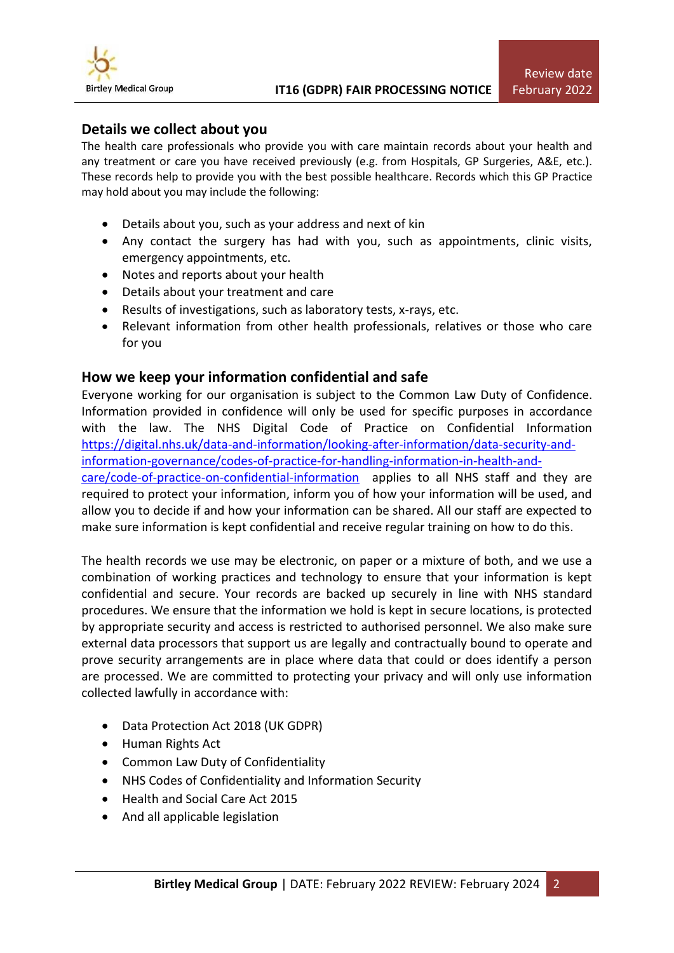

## **Details we collect about you**

The health care professionals who provide you with care maintain records about your health and any treatment or care you have received previously (e.g. from Hospitals, GP Surgeries, A&E, etc.). These records help to provide you with the best possible healthcare. Records which this GP Practice may hold about you may include the following:

- Details about you, such as your address and next of kin
- Any contact the surgery has had with you, such as appointments, clinic visits, emergency appointments, etc.
- Notes and reports about your health
- Details about your treatment and care
- Results of investigations, such as laboratory tests, x-rays, etc.
- Relevant information from other health professionals, relatives or those who care for you

## **How we keep your information confidential and safe**

Everyone working for our organisation is subject to the Common Law Duty of Confidence. Information provided in confidence will only be used for specific purposes in accordance with the law. The NHS Digital Code of Practice on Confidential Information [https://digital.nhs.uk/data-and-information/looking-after-information/data-security-and](https://digital.nhs.uk/data-and-information/looking-after-information/data-security-and-information-governance/codes-of-practice-for-handling-information-in-health-and-care/code-of-practice-on-confidential-information)[information-governance/codes-of-practice-for-handling-information-in-health-and](https://digital.nhs.uk/data-and-information/looking-after-information/data-security-and-information-governance/codes-of-practice-for-handling-information-in-health-and-care/code-of-practice-on-confidential-information)[care/code-of-practice-on-confidential-information](https://digital.nhs.uk/data-and-information/looking-after-information/data-security-and-information-governance/codes-of-practice-for-handling-information-in-health-and-care/code-of-practice-on-confidential-information) applies to all NHS staff and they are required to protect your information, inform you of how your information will be used, and allow you to decide if and how your information can be shared. All our staff are expected to make sure information is kept confidential and receive regular training on how to do this.

The health records we use may be electronic, on paper or a mixture of both, and we use a combination of working practices and technology to ensure that your information is kept confidential and secure. Your records are backed up securely in line with NHS standard procedures. We ensure that the information we hold is kept in secure locations, is protected by appropriate security and access is restricted to authorised personnel. We also make sure external data processors that support us are legally and contractually bound to operate and prove security arrangements are in place where data that could or does identify a person are processed. We are committed to protecting your privacy and will only use information collected lawfully in accordance with:

- Data Protection Act 2018 (UK GDPR)
- Human Rights Act
- Common Law Duty of Confidentiality
- NHS Codes of Confidentiality and Information Security
- Health and Social Care Act 2015
- And all applicable legislation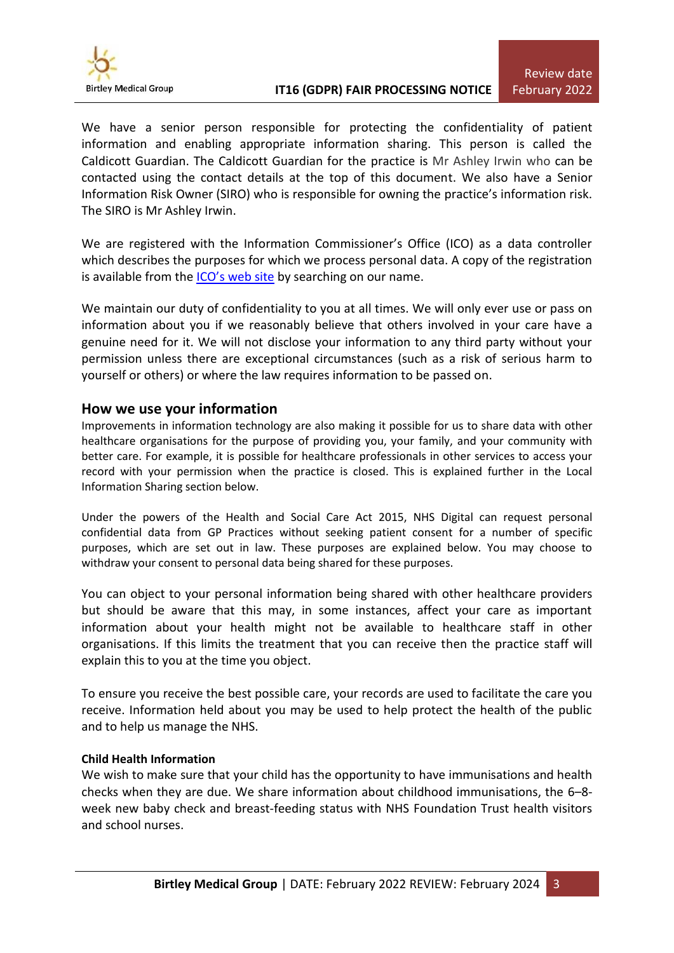

We have a senior person responsible for protecting the confidentiality of patient information and enabling appropriate information sharing. This person is called the Caldicott Guardian. The Caldicott Guardian for the practice is Mr Ashley Irwin who can be contacted using the contact details at the top of this document. We also have a Senior Information Risk Owner (SIRO) who is responsible for owning the practice's information risk. The SIRO is Mr Ashley Irwin.

We are registered with the Information Commissioner's Office (ICO) as a data controller which describes the purposes for which we process personal data. A copy of the registration is available from the **[ICO's web site](https://ico.org.uk/about-the-ico/what-we-do/register-of-data-controllers/)** by searching on our name.

We maintain our duty of confidentiality to you at all times. We will only ever use or pass on information about you if we reasonably believe that others involved in your care have a genuine need for it. We will not disclose your information to any third party without your permission unless there are exceptional circumstances (such as a risk of serious harm to yourself or others) or where the law requires information to be passed on.

## **How we use your information**

Improvements in information technology are also making it possible for us to share data with other healthcare organisations for the purpose of providing you, your family, and your community with better care. For example, it is possible for healthcare professionals in other services to access your record with your permission when the practice is closed. This is explained further in the Local Information Sharing section below.

Under the powers of the Health and Social Care Act 2015, NHS Digital can request personal confidential data from GP Practices without seeking patient consent for a number of specific purposes, which are set out in law. These purposes are explained below. You may choose to withdraw your consent to personal data being shared for these purposes.

You can object to your personal information being shared with other healthcare providers but should be aware that this may, in some instances, affect your care as important information about your health might not be available to healthcare staff in other organisations. If this limits the treatment that you can receive then the practice staff will explain this to you at the time you object.

To ensure you receive the best possible care, your records are used to facilitate the care you receive. Information held about you may be used to help protect the health of the public and to help us manage the NHS.

## **Child Health Information**

We wish to make sure that your child has the opportunity to have immunisations and health checks when they are due. We share information about childhood immunisations, the 6–8 week new baby check and breast-feeding status with NHS Foundation Trust health visitors and school nurses.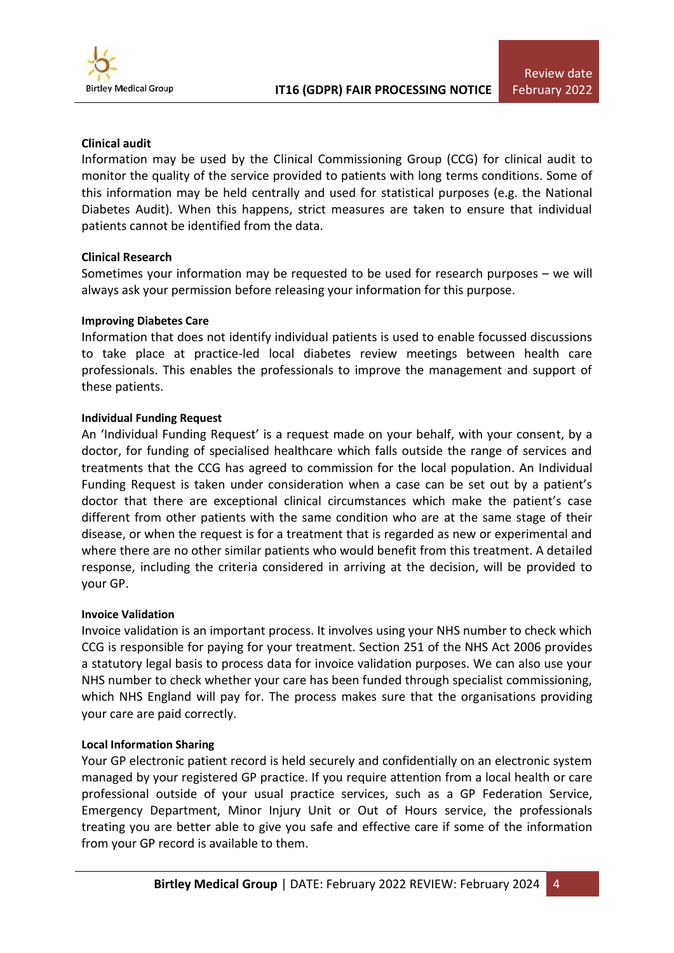

## **Clinical audit**

Information may be used by the Clinical Commissioning Group (CCG) for clinical audit to monitor the quality of the service provided to patients with long terms conditions. Some of this information may be held centrally and used for statistical purposes (e.g. the National Diabetes Audit). When this happens, strict measures are taken to ensure that individual patients cannot be identified from the data.

#### **Clinical Research**

Sometimes your information may be requested to be used for research purposes – we will always ask your permission before releasing your information for this purpose.

#### **Improving Diabetes Care**

Information that does not identify individual patients is used to enable focussed discussions to take place at practice-led local diabetes review meetings between health care professionals. This enables the professionals to improve the management and support of these patients.

#### **Individual Funding Request**

An 'Individual Funding Request' is a request made on your behalf, with your consent, by a doctor, for funding of specialised healthcare which falls outside the range of services and treatments that the CCG has agreed to commission for the local population. An Individual Funding Request is taken under consideration when a case can be set out by a patient's doctor that there are exceptional clinical circumstances which make the patient's case different from other patients with the same condition who are at the same stage of their disease, or when the request is for a treatment that is regarded as new or experimental and where there are no other similar patients who would benefit from this treatment. A detailed response, including the criteria considered in arriving at the decision, will be provided to your GP.

#### **Invoice Validation**

Invoice validation is an important process. It involves using your NHS number to check which CCG is responsible for paying for your treatment. Section 251 of the NHS Act 2006 provides a statutory legal basis to process data for invoice validation purposes. We can also use your NHS number to check whether your care has been funded through specialist commissioning, which NHS England will pay for. The process makes sure that the organisations providing your care are paid correctly.

#### **Local Information Sharing**

Your GP electronic patient record is held securely and confidentially on an electronic system managed by your registered GP practice. If you require attention from a local health or care professional outside of your usual practice services, such as a GP Federation Service, Emergency Department, Minor Injury Unit or Out of Hours service, the professionals treating you are better able to give you safe and effective care if some of the information from your GP record is available to them.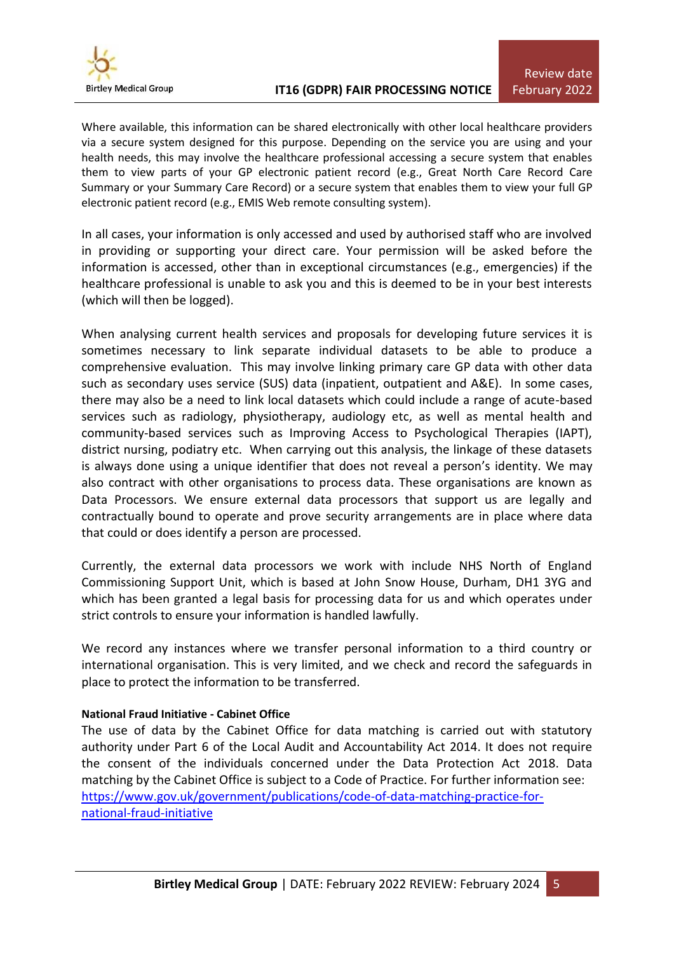

Where available, this information can be shared electronically with other local healthcare providers via a secure system designed for this purpose. Depending on the service you are using and your health needs, this may involve the healthcare professional accessing a secure system that enables them to view parts of your GP electronic patient record (e.g., Great North Care Record Care Summary or your Summary Care Record) or a secure system that enables them to view your full GP electronic patient record (e.g., EMIS Web remote consulting system).

In all cases, your information is only accessed and used by authorised staff who are involved in providing or supporting your direct care. Your permission will be asked before the information is accessed, other than in exceptional circumstances (e.g., emergencies) if the healthcare professional is unable to ask you and this is deemed to be in your best interests (which will then be logged).

When analysing current health services and proposals for developing future services it is sometimes necessary to link separate individual datasets to be able to produce a comprehensive evaluation. This may involve linking primary care GP data with other data such as secondary uses service (SUS) data (inpatient, outpatient and A&E). In some cases, there may also be a need to link local datasets which could include a range of acute-based services such as radiology, physiotherapy, audiology etc, as well as mental health and community-based services such as Improving Access to Psychological Therapies (IAPT), district nursing, podiatry etc. When carrying out this analysis, the linkage of these datasets is always done using a unique identifier that does not reveal a person's identity. We may also contract with other organisations to process data. These organisations are known as Data Processors. We ensure external data processors that support us are legally and contractually bound to operate and prove security arrangements are in place where data that could or does identify a person are processed.

Currently, the external data processors we work with include NHS North of England Commissioning Support Unit, which is based at John Snow House, Durham, DH1 3YG and which has been granted a legal basis for processing data for us and which operates under strict controls to ensure your information is handled lawfully.

We record any instances where we transfer personal information to a third country or international organisation. This is very limited, and we check and record the safeguards in place to protect the information to be transferred.

## **National Fraud Initiative - Cabinet Office**

The use of data by the Cabinet Office for data matching is carried out with statutory authority under Part 6 of the Local Audit and Accountability Act 2014. It does not require the consent of the individuals concerned under the Data Protection Act 2018. Data matching by the Cabinet Office is subject to a Code of Practice. For further information see: [https://www.gov.uk/government/publications/code-of-data-matching-practice-for](https://www.gov.uk/government/publications/code-of-data-matching-practice-for-national-fraud-initiative)[national-fraud-initiative](https://www.gov.uk/government/publications/code-of-data-matching-practice-for-national-fraud-initiative)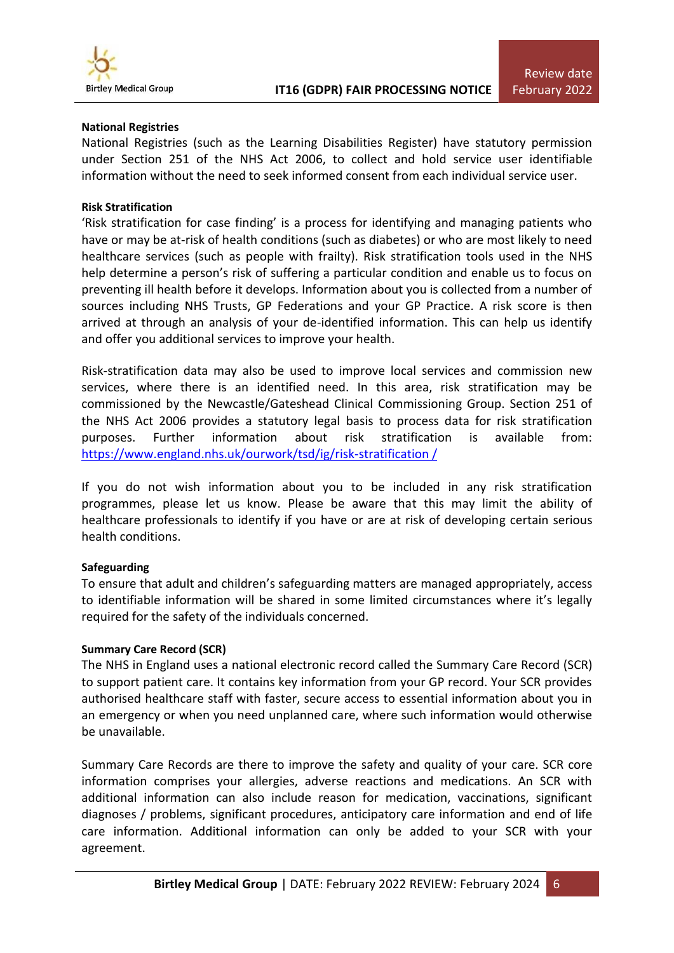

#### **National Registries**

National Registries (such as the Learning Disabilities Register) have statutory permission under Section 251 of the NHS Act 2006, to collect and hold service user identifiable information without the need to seek informed consent from each individual service user.

#### **Risk Stratification**

'Risk stratification for case finding' is a process for identifying and managing patients who have or may be at-risk of health conditions (such as diabetes) or who are most likely to need healthcare services (such as people with frailty). Risk stratification tools used in the NHS help determine a person's risk of suffering a particular condition and enable us to focus on preventing ill health before it develops. Information about you is collected from a number of sources including NHS Trusts, GP Federations and your GP Practice. A risk score is then arrived at through an analysis of your de-identified information. This can help us identify and offer you additional services to improve your health.

Risk-stratification data may also be used to improve local services and commission new services, where there is an identified need. In this area, risk stratification may be commissioned by the Newcastle/Gateshead Clinical Commissioning Group. Section 251 of the NHS Act 2006 provides a statutory legal basis to process data for risk stratification purposes. Further information about risk stratification is available from: [https://www.england.nhs.uk/ourwork/tsd/ig/risk-stratification /](https://www.england.nhs.uk/ourwork/tsd/ig/risk-stratification%20/)

If you do not wish information about you to be included in any risk stratification programmes, please let us know. Please be aware that this may limit the ability of healthcare professionals to identify if you have or are at risk of developing certain serious health conditions.

#### **Safeguarding**

To ensure that adult and children's safeguarding matters are managed appropriately, access to identifiable information will be shared in some limited circumstances where it's legally required for the safety of the individuals concerned.

#### **Summary Care Record (SCR)**

The NHS in England uses a national electronic record called the Summary Care Record (SCR) to support patient care. It contains key information from your GP record. Your SCR provides authorised healthcare staff with faster, secure access to essential information about you in an emergency or when you need unplanned care, where such information would otherwise be unavailable.

Summary Care Records are there to improve the safety and quality of your care. SCR core information comprises your allergies, adverse reactions and medications. An SCR with additional information can also include reason for medication, vaccinations, significant diagnoses / problems, significant procedures, anticipatory care information and end of life care information. Additional information can only be added to your SCR with your agreement.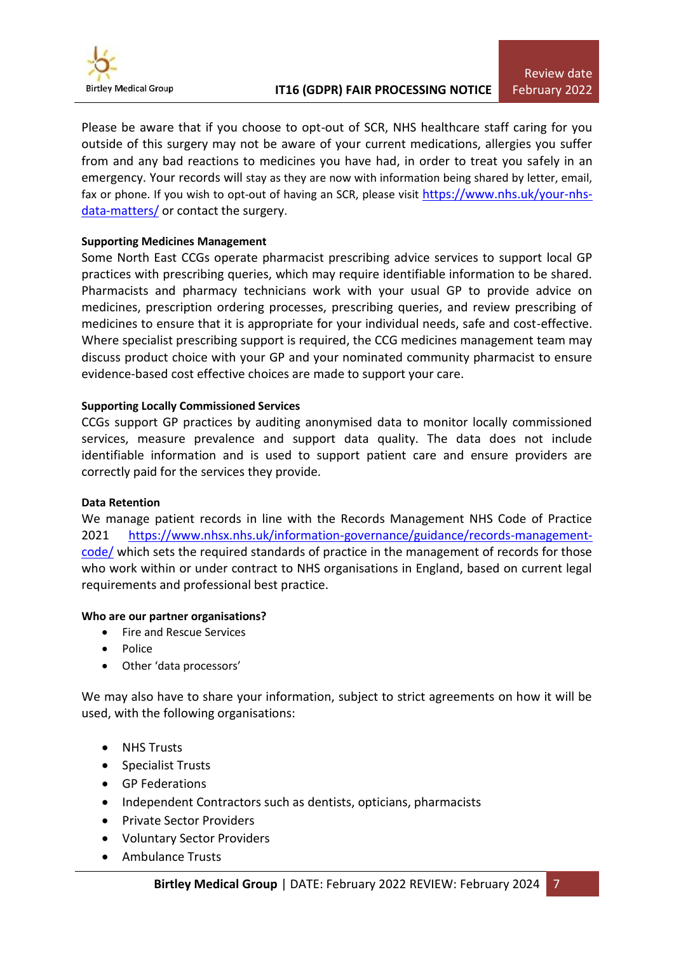

Please be aware that if you choose to opt-out of SCR, NHS healthcare staff caring for you outside of this surgery may not be aware of your current medications, allergies you suffer from and any bad reactions to medicines you have had, in order to treat you safely in an emergency. Your records will stay as they are now with information being shared by letter, email, fax or phone. If you wish to opt-out of having an SCR, please visit [https://www.nhs.uk/your-nhs](https://www.nhs.uk/your-nhs-data-matters/)[data-matters/](https://www.nhs.uk/your-nhs-data-matters/) or contact the surgery.

## **Supporting Medicines Management**

Some North East CCGs operate pharmacist prescribing advice services to support local GP practices with prescribing queries, which may require identifiable information to be shared. Pharmacists and pharmacy technicians work with your usual GP to provide advice on medicines, prescription ordering processes, prescribing queries, and review prescribing of medicines to ensure that it is appropriate for your individual needs, safe and cost-effective. Where specialist prescribing support is required, the CCG medicines management team may discuss product choice with your GP and your nominated community pharmacist to ensure evidence-based cost effective choices are made to support your care.

#### **Supporting Locally Commissioned Services**

CCGs support GP practices by auditing anonymised data to monitor locally commissioned services, measure prevalence and support data quality. The data does not include identifiable information and is used to support patient care and ensure providers are correctly paid for the services they provide.

#### **Data Retention**

We manage patient records in line with the Records Management NHS Code of Practice 2021 [https://www.nhsx.nhs.uk/information-governance/guidance/records-management](https://www.nhsx.nhs.uk/information-governance/guidance/records-management-code/)[code/](https://www.nhsx.nhs.uk/information-governance/guidance/records-management-code/) which sets the required standards of practice in the management of records for those who work within or under contract to NHS organisations in England, based on current legal requirements and professional best practice.

#### **Who are our partner organisations?**

- Fire and Rescue Services
- Police
- Other 'data processors'

We may also have to share your information, subject to strict agreements on how it will be used, with the following organisations:

- NHS Trusts
- Specialist Trusts
- GP Federations
- Independent Contractors such as dentists, opticians, pharmacists
- Private Sector Providers
- Voluntary Sector Providers
- Ambulance Trusts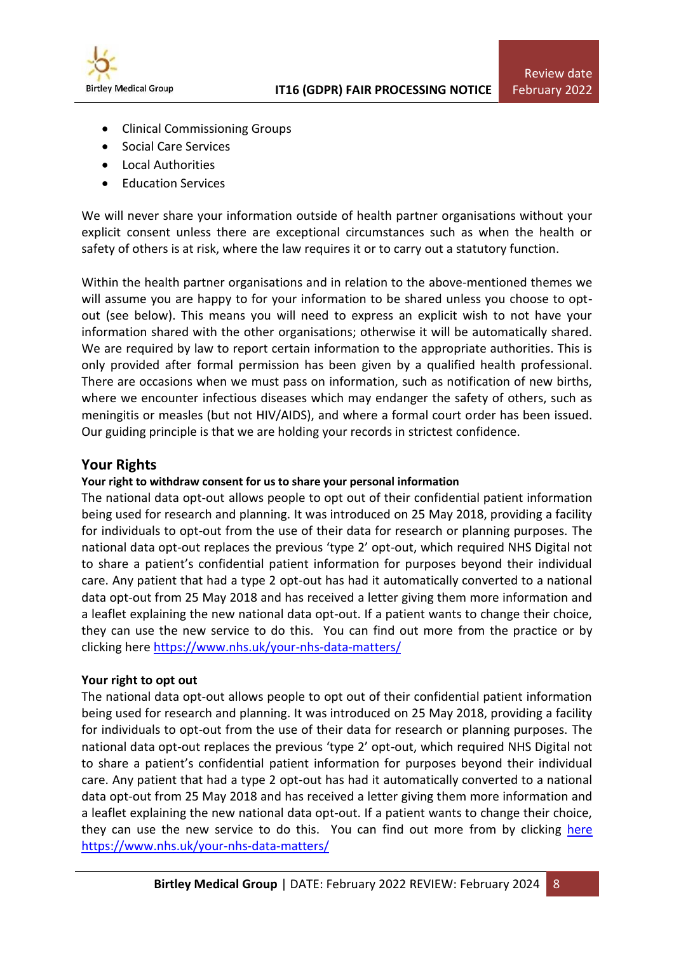

- Clinical Commissioning Groups
- Social Care Services
- Local Authorities
- Education Services

We will never share your information outside of health partner organisations without your explicit consent unless there are exceptional circumstances such as when the health or safety of others is at risk, where the law requires it or to carry out a statutory function.

Within the health partner organisations and in relation to the above-mentioned themes we will assume you are happy to for your information to be shared unless you choose to optout (see below). This means you will need to express an explicit wish to not have your information shared with the other organisations; otherwise it will be automatically shared. We are required by law to report certain information to the appropriate authorities. This is only provided after formal permission has been given by a qualified health professional. There are occasions when we must pass on information, such as notification of new births, where we encounter infectious diseases which may endanger the safety of others, such as meningitis or measles (but not HIV/AIDS), and where a formal court order has been issued. Our guiding principle is that we are holding your records in strictest confidence.

## **Your Rights**

#### **Your right to withdraw consent for us to share your personal information**

The national data opt-out allows people to opt out of their confidential patient information being used for research and planning. It was introduced on 25 May 2018, providing a facility for individuals to opt-out from the use of their data for research or planning purposes. The national data opt-out replaces the previous 'type 2' opt-out, which required NHS Digital not to share a patient's confidential patient information for purposes beyond their individual care. Any patient that had a type 2 opt-out has had it automatically converted to a national data opt-out from 25 May 2018 and has received a letter giving them more information and a leaflet explaining the new national data opt-out. If a patient wants to change their choice, they can use the new service to do this. You can find out more from the practice or by clicking her[e https://www.nhs.uk/your-nhs-data-matters/](https://www.nhs.uk/your-nhs-data-matters/)

## **Your right to opt out**

The national data opt-out allows people to opt out of their confidential patient information being used for research and planning. It was introduced on 25 May 2018, providing a facility for individuals to opt-out from the use of their data for research or planning purposes. The national data opt-out replaces the previous 'type 2' opt-out, which required NHS Digital not to share a patient's confidential patient information for purposes beyond their individual care. Any patient that had a type 2 opt-out has had it automatically converted to a national data opt-out from 25 May 2018 and has received a letter giving them more information and a leaflet explaining the new national data opt-out. If a patient wants to change their choice, they can use the new service to do this. You can find out more from by clicking [here](https://www.nhs.uk/your-nhs-data-matters/) <https://www.nhs.uk/your-nhs-data-matters/>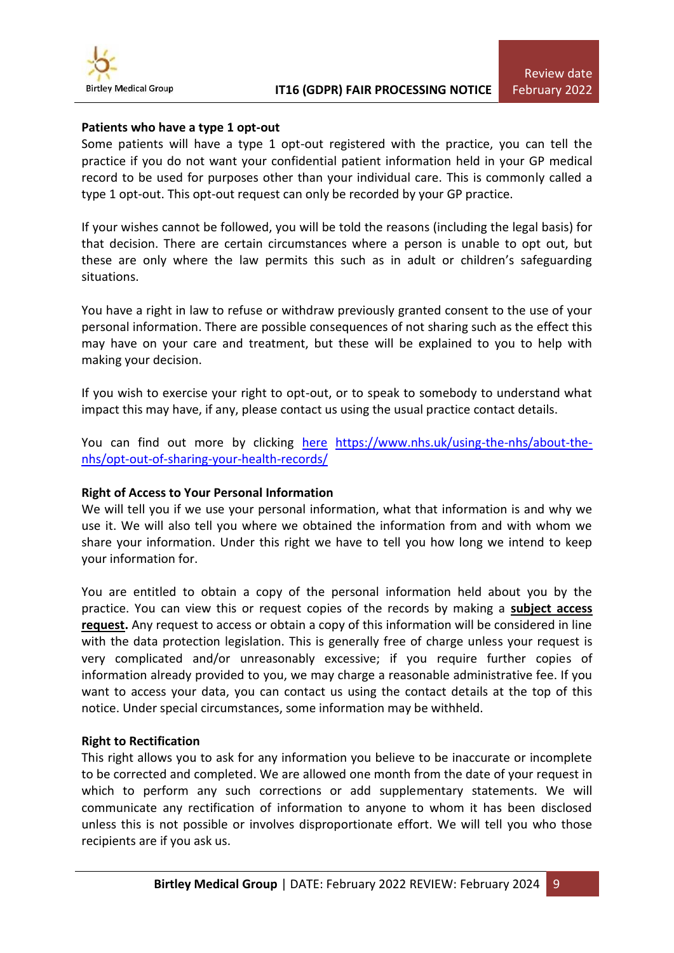

#### **Patients who have a type 1 opt-out**

Some patients will have a type 1 opt-out registered with the practice, you can tell the practice if you do not want your confidential patient information held in your GP medical record to be used for purposes other than your individual care. This is commonly called a type 1 opt-out. This opt-out request can only be recorded by your GP practice.

If your wishes cannot be followed, you will be told the reasons (including the legal basis) for that decision. There are certain circumstances where a person is unable to opt out, but these are only where the law permits this such as in adult or children's safeguarding situations.

You have a right in law to refuse or withdraw previously granted consent to the use of your personal information. There are possible consequences of not sharing such as the effect this may have on your care and treatment, but these will be explained to you to help with making your decision.

If you wish to exercise your right to opt-out, or to speak to somebody to understand what impact this may have, if any, please contact us using the usual practice contact details.

You can find out more by clicking [here](https://www.nhs.uk/using-the-nhs/about-the-nhs/opt-out-of-sharing-your-health-records/) [https://www.nhs.uk/using-the-nhs/about-the](https://www.nhs.uk/using-the-nhs/about-the-nhs/opt-out-of-sharing-your-health-records/)[nhs/opt-out-of-sharing-your-health-records/](https://www.nhs.uk/using-the-nhs/about-the-nhs/opt-out-of-sharing-your-health-records/)

#### **Right of Access to Your Personal Information**

We will tell you if we use your personal information, what that information is and why we use it. We will also tell you where we obtained the information from and with whom we share your information. Under this right we have to tell you how long we intend to keep your information for.

You are entitled to obtain a copy of the personal information held about you by the practice. You can view this or request copies of the records by making a **[subject access](https://ico.org.uk/for-the-public/personal-information/)  [request.](https://ico.org.uk/for-the-public/personal-information/)** Any request to access or obtain a copy of this information will be considered in line with the data protection legislation. This is generally free of charge unless your request is very complicated and/or unreasonably excessive; if you require further copies of information already provided to you, we may charge a reasonable administrative fee. If you want to access your data, you can contact us using the contact details at the top of this notice. Under special circumstances, some information may be withheld.

#### **Right to Rectification**

This right allows you to ask for any information you believe to be inaccurate or incomplete to be corrected and completed. We are allowed one month from the date of your request in which to perform any such corrections or add supplementary statements. We will communicate any rectification of information to anyone to whom it has been disclosed unless this is not possible or involves disproportionate effort. We will tell you who those recipients are if you ask us.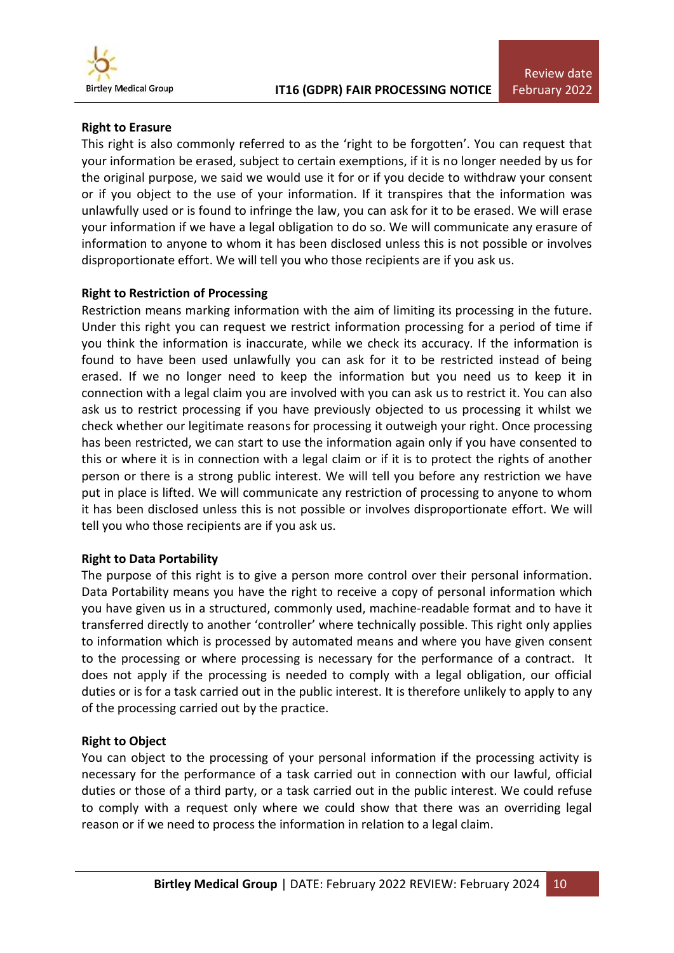

## **Right to Erasure**

This right is also commonly referred to as the 'right to be forgotten'. You can request that your information be erased, subject to certain exemptions, if it is no longer needed by us for the original purpose, we said we would use it for or if you decide to withdraw your consent or if you object to the use of your information. If it transpires that the information was unlawfully used or is found to infringe the law, you can ask for it to be erased. We will erase your information if we have a legal obligation to do so. We will communicate any erasure of information to anyone to whom it has been disclosed unless this is not possible or involves disproportionate effort. We will tell you who those recipients are if you ask us.

## **Right to Restriction of Processing**

Restriction means marking information with the aim of limiting its processing in the future. Under this right you can request we restrict information processing for a period of time if you think the information is inaccurate, while we check its accuracy. If the information is found to have been used unlawfully you can ask for it to be restricted instead of being erased. If we no longer need to keep the information but you need us to keep it in connection with a legal claim you are involved with you can ask us to restrict it. You can also ask us to restrict processing if you have previously objected to us processing it whilst we check whether our legitimate reasons for processing it outweigh your right. Once processing has been restricted, we can start to use the information again only if you have consented to this or where it is in connection with a legal claim or if it is to protect the rights of another person or there is a strong public interest. We will tell you before any restriction we have put in place is lifted. We will communicate any restriction of processing to anyone to whom it has been disclosed unless this is not possible or involves disproportionate effort. We will tell you who those recipients are if you ask us.

## **Right to Data Portability**

The purpose of this right is to give a person more control over their personal information. Data Portability means you have the right to receive a copy of personal information which you have given us in a structured, commonly used, machine-readable format and to have it transferred directly to another 'controller' where technically possible. This right only applies to information which is processed by automated means and where you have given consent to the processing or where processing is necessary for the performance of a contract. It does not apply if the processing is needed to comply with a legal obligation, our official duties or is for a task carried out in the public interest. It is therefore unlikely to apply to any of the processing carried out by the practice.

## **Right to Object**

You can object to the processing of your personal information if the processing activity is necessary for the performance of a task carried out in connection with our lawful, official duties or those of a third party, or a task carried out in the public interest. We could refuse to comply with a request only where we could show that there was an overriding legal reason or if we need to process the information in relation to a legal claim.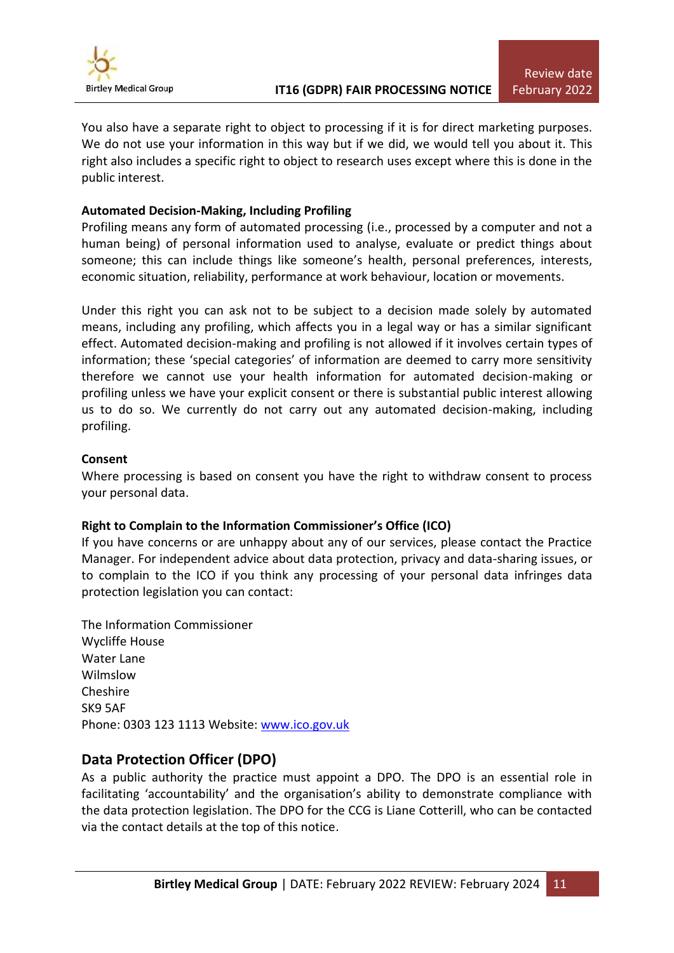

You also have a separate right to object to processing if it is for direct marketing purposes. We do not use your information in this way but if we did, we would tell you about it. This right also includes a specific right to object to research uses except where this is done in the public interest.

## **Automated Decision-Making, Including Profiling**

Profiling means any form of automated processing (i.e., processed by a computer and not a human being) of personal information used to analyse, evaluate or predict things about someone; this can include things like someone's health, personal preferences, interests, economic situation, reliability, performance at work behaviour, location or movements.

Under this right you can ask not to be subject to a decision made solely by automated means, including any profiling, which affects you in a legal way or has a similar significant effect. Automated decision-making and profiling is not allowed if it involves certain types of information; these 'special categories' of information are deemed to carry more sensitivity therefore we cannot use your health information for automated decision-making or profiling unless we have your explicit consent or there is substantial public interest allowing us to do so. We currently do not carry out any automated decision-making, including profiling.

## **Consent**

Where processing is based on consent you have the right to withdraw consent to process your personal data.

## **Right to Complain to the Information Commissioner's Office (ICO)**

If you have concerns or are unhappy about any of our services, please contact the Practice Manager. For independent advice about data protection, privacy and data-sharing issues, or to complain to the ICO if you think any processing of your personal data infringes data protection legislation you can contact:

The Information Commissioner Wycliffe House Water Lane Wilmslow Cheshire SK9 5AF Phone: 0303 123 1113 Website: [www.ico.gov.uk](http://www.ico.gov.uk/)

## **Data Protection Officer (DPO)**

As a public authority the practice must appoint a DPO. The DPO is an essential role in facilitating 'accountability' and the organisation's ability to demonstrate compliance with the data protection legislation. The DPO for the CCG is Liane Cotterill, who can be contacted via the contact details at the top of this notice.